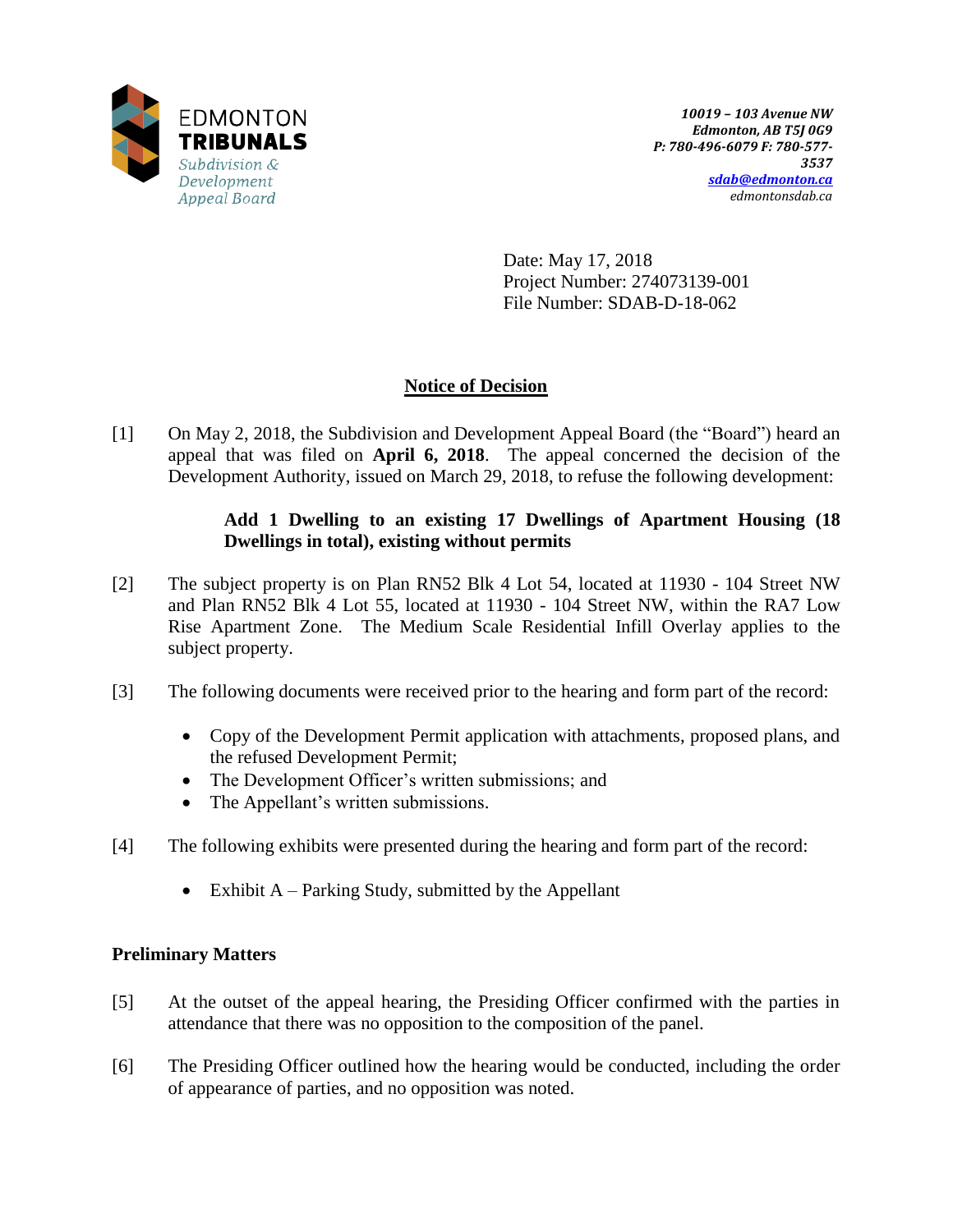

Date: May 17, 2018 Project Number: 274073139-001 File Number: SDAB-D-18-062

## **Notice of Decision**

[1] On May 2, 2018, the Subdivision and Development Appeal Board (the "Board") heard an appeal that was filed on **April 6, 2018**. The appeal concerned the decision of the Development Authority, issued on March 29, 2018, to refuse the following development:

## **Add 1 Dwelling to an existing 17 Dwellings of Apartment Housing (18 Dwellings in total), existing without permits**

- [2] The subject property is on Plan RN52 Blk 4 Lot 54, located at 11930 104 Street NW and Plan RN52 Blk 4 Lot 55, located at 11930 - 104 Street NW, within the RA7 Low Rise Apartment Zone. The Medium Scale Residential Infill Overlay applies to the subject property.
- [3] The following documents were received prior to the hearing and form part of the record:
	- Copy of the Development Permit application with attachments, proposed plans, and the refused Development Permit;
	- The Development Officer's written submissions; and
	- The Appellant's written submissions.
- [4] The following exhibits were presented during the hearing and form part of the record:
	- Exhibit  $A$  Parking Study, submitted by the Appellant

## **Preliminary Matters**

- [5] At the outset of the appeal hearing, the Presiding Officer confirmed with the parties in attendance that there was no opposition to the composition of the panel.
- [6] The Presiding Officer outlined how the hearing would be conducted, including the order of appearance of parties, and no opposition was noted.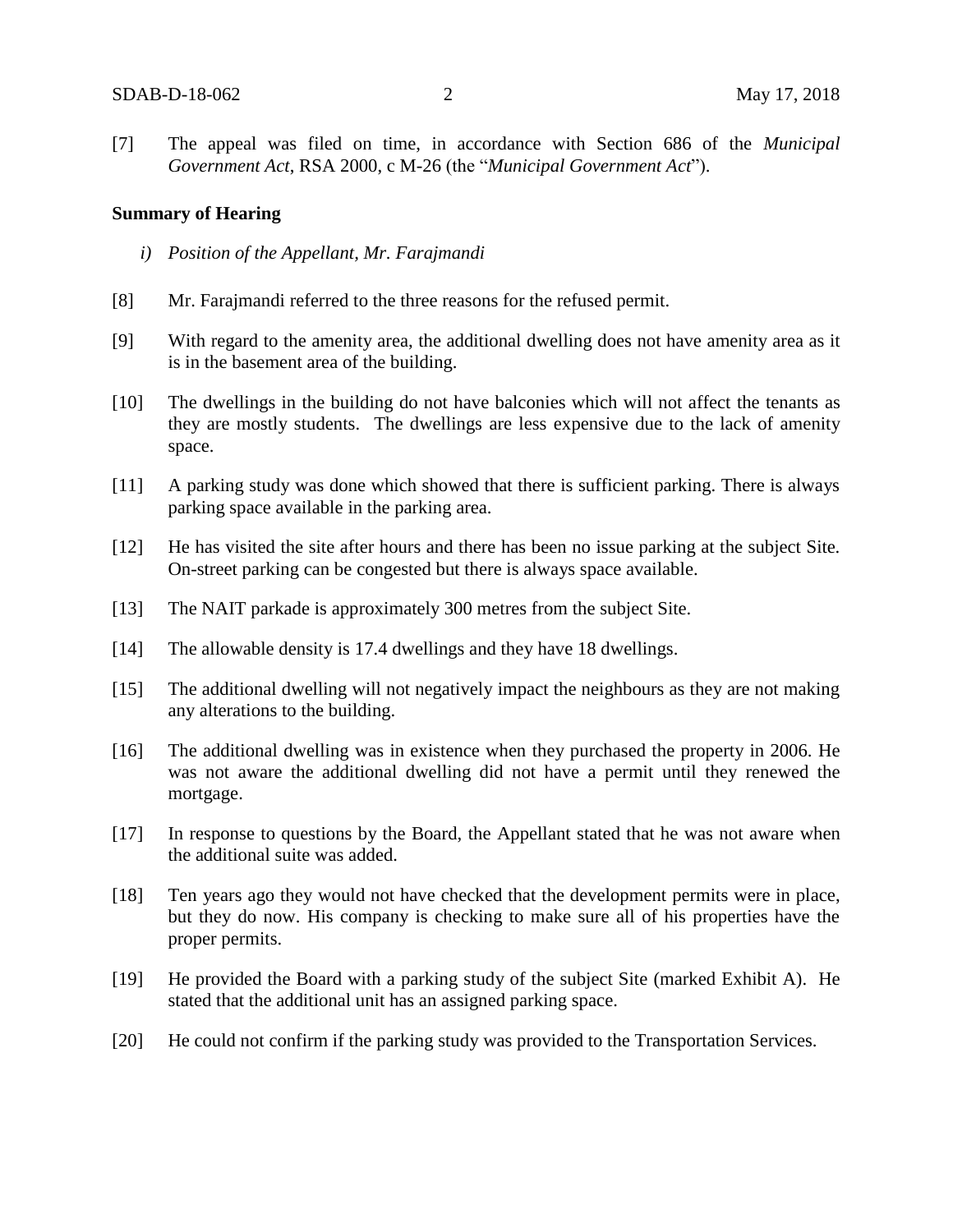[7] The appeal was filed on time, in accordance with Section 686 of the *Municipal Government Act*, RSA 2000, c M-26 (the "*Municipal Government Act*").

#### **Summary of Hearing**

- *i) Position of the Appellant, Mr. Farajmandi*
- [8] Mr. Farajmandi referred to the three reasons for the refused permit.
- [9] With regard to the amenity area, the additional dwelling does not have amenity area as it is in the basement area of the building.
- [10] The dwellings in the building do not have balconies which will not affect the tenants as they are mostly students. The dwellings are less expensive due to the lack of amenity space.
- [11] A parking study was done which showed that there is sufficient parking. There is always parking space available in the parking area.
- [12] He has visited the site after hours and there has been no issue parking at the subject Site. On-street parking can be congested but there is always space available.
- [13] The NAIT parkade is approximately 300 metres from the subject Site.
- [14] The allowable density is 17.4 dwellings and they have 18 dwellings.
- [15] The additional dwelling will not negatively impact the neighbours as they are not making any alterations to the building.
- [16] The additional dwelling was in existence when they purchased the property in 2006. He was not aware the additional dwelling did not have a permit until they renewed the mortgage.
- [17] In response to questions by the Board, the Appellant stated that he was not aware when the additional suite was added.
- [18] Ten years ago they would not have checked that the development permits were in place, but they do now. His company is checking to make sure all of his properties have the proper permits.
- [19] He provided the Board with a parking study of the subject Site (marked Exhibit A). He stated that the additional unit has an assigned parking space.
- [20] He could not confirm if the parking study was provided to the Transportation Services.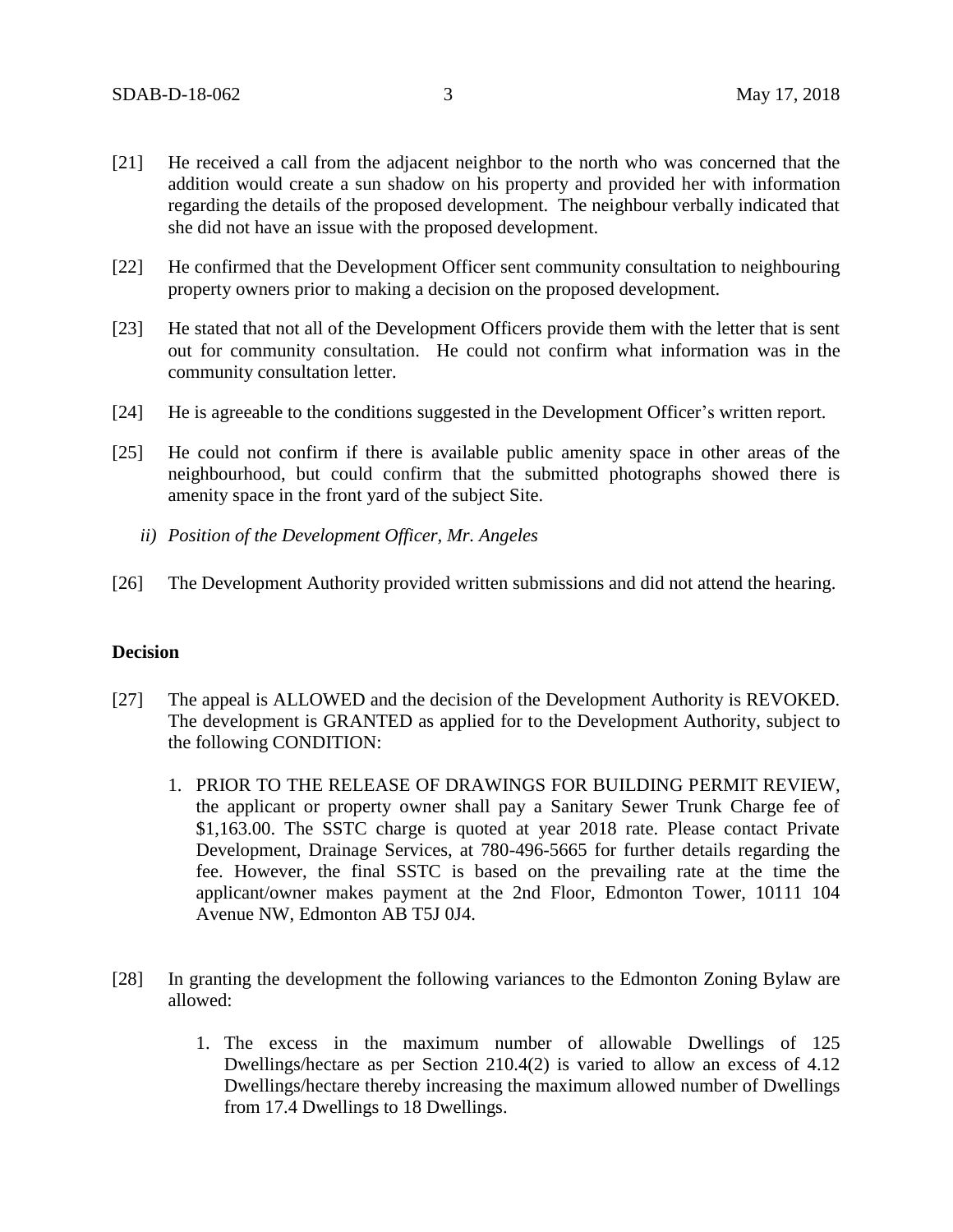- [21] He received a call from the adjacent neighbor to the north who was concerned that the addition would create a sun shadow on his property and provided her with information regarding the details of the proposed development. The neighbour verbally indicated that she did not have an issue with the proposed development.
- [22] He confirmed that the Development Officer sent community consultation to neighbouring property owners prior to making a decision on the proposed development.
- [23] He stated that not all of the Development Officers provide them with the letter that is sent out for community consultation. He could not confirm what information was in the community consultation letter.
- [24] He is agreeable to the conditions suggested in the Development Officer's written report.
- [25] He could not confirm if there is available public amenity space in other areas of the neighbourhood, but could confirm that the submitted photographs showed there is amenity space in the front yard of the subject Site.
	- *ii) Position of the Development Officer, Mr. Angeles*
- [26] The Development Authority provided written submissions and did not attend the hearing.

#### **Decision**

- [27] The appeal is ALLOWED and the decision of the Development Authority is REVOKED. The development is GRANTED as applied for to the Development Authority, subject to the following CONDITION:
	- 1. PRIOR TO THE RELEASE OF DRAWINGS FOR BUILDING PERMIT REVIEW, the applicant or property owner shall pay a Sanitary Sewer Trunk Charge fee of \$1,163.00. The SSTC charge is quoted at year 2018 rate. Please contact Private Development, Drainage Services, at 780-496-5665 for further details regarding the fee. However, the final SSTC is based on the prevailing rate at the time the applicant/owner makes payment at the 2nd Floor, Edmonton Tower, 10111 104 Avenue NW, Edmonton AB T5J 0J4.
- [28] In granting the development the following variances to the Edmonton Zoning Bylaw are allowed:
	- 1. The excess in the maximum number of allowable Dwellings of 125 Dwellings/hectare as per Section 210.4(2) is varied to allow an excess of 4.12 Dwellings/hectare thereby increasing the maximum allowed number of Dwellings from 17.4 Dwellings to 18 Dwellings.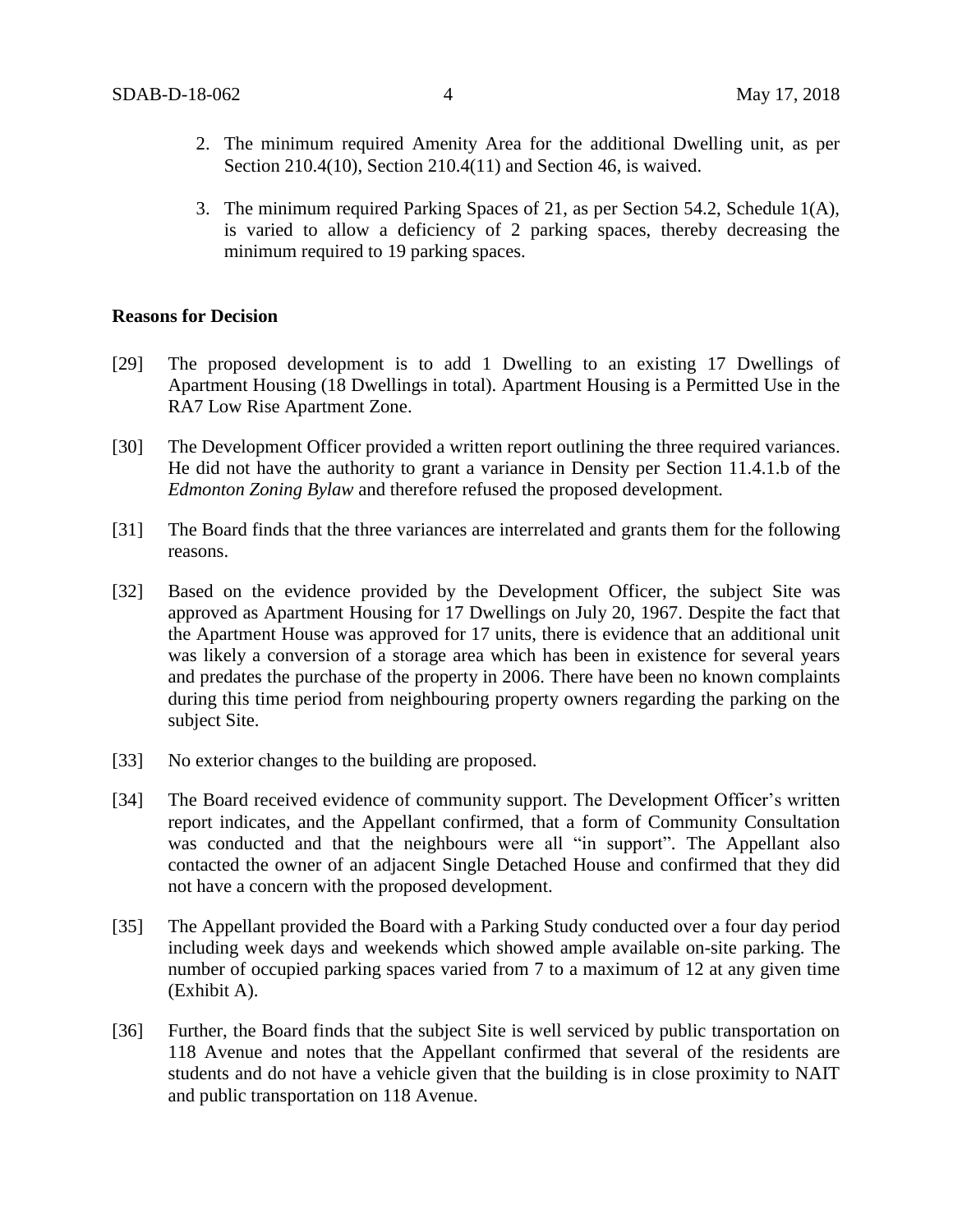- 2. The minimum required Amenity Area for the additional Dwelling unit, as per Section 210.4(10), Section 210.4(11) and Section 46, is waived.
- 3. The minimum required Parking Spaces of 21, as per Section 54.2, Schedule 1(A), is varied to allow a deficiency of 2 parking spaces, thereby decreasing the minimum required to 19 parking spaces.

#### **Reasons for Decision**

- [29] The proposed development is to add 1 Dwelling to an existing 17 Dwellings of Apartment Housing (18 Dwellings in total). Apartment Housing is a Permitted Use in the RA7 Low Rise Apartment Zone.
- [30] The Development Officer provided a written report outlining the three required variances. He did not have the authority to grant a variance in Density per Section 11.4.1.b of the *Edmonton Zoning Bylaw* and therefore refused the proposed development*.*
- [31] The Board finds that the three variances are interrelated and grants them for the following reasons.
- [32] Based on the evidence provided by the Development Officer, the subject Site was approved as Apartment Housing for 17 Dwellings on July 20, 1967. Despite the fact that the Apartment House was approved for 17 units, there is evidence that an additional unit was likely a conversion of a storage area which has been in existence for several years and predates the purchase of the property in 2006. There have been no known complaints during this time period from neighbouring property owners regarding the parking on the subject Site.
- [33] No exterior changes to the building are proposed.
- [34] The Board received evidence of community support. The Development Officer's written report indicates, and the Appellant confirmed, that a form of Community Consultation was conducted and that the neighbours were all "in support". The Appellant also contacted the owner of an adjacent Single Detached House and confirmed that they did not have a concern with the proposed development.
- [35] The Appellant provided the Board with a Parking Study conducted over a four day period including week days and weekends which showed ample available on-site parking. The number of occupied parking spaces varied from 7 to a maximum of 12 at any given time (Exhibit A).
- [36] Further, the Board finds that the subject Site is well serviced by public transportation on 118 Avenue and notes that the Appellant confirmed that several of the residents are students and do not have a vehicle given that the building is in close proximity to NAIT and public transportation on 118 Avenue.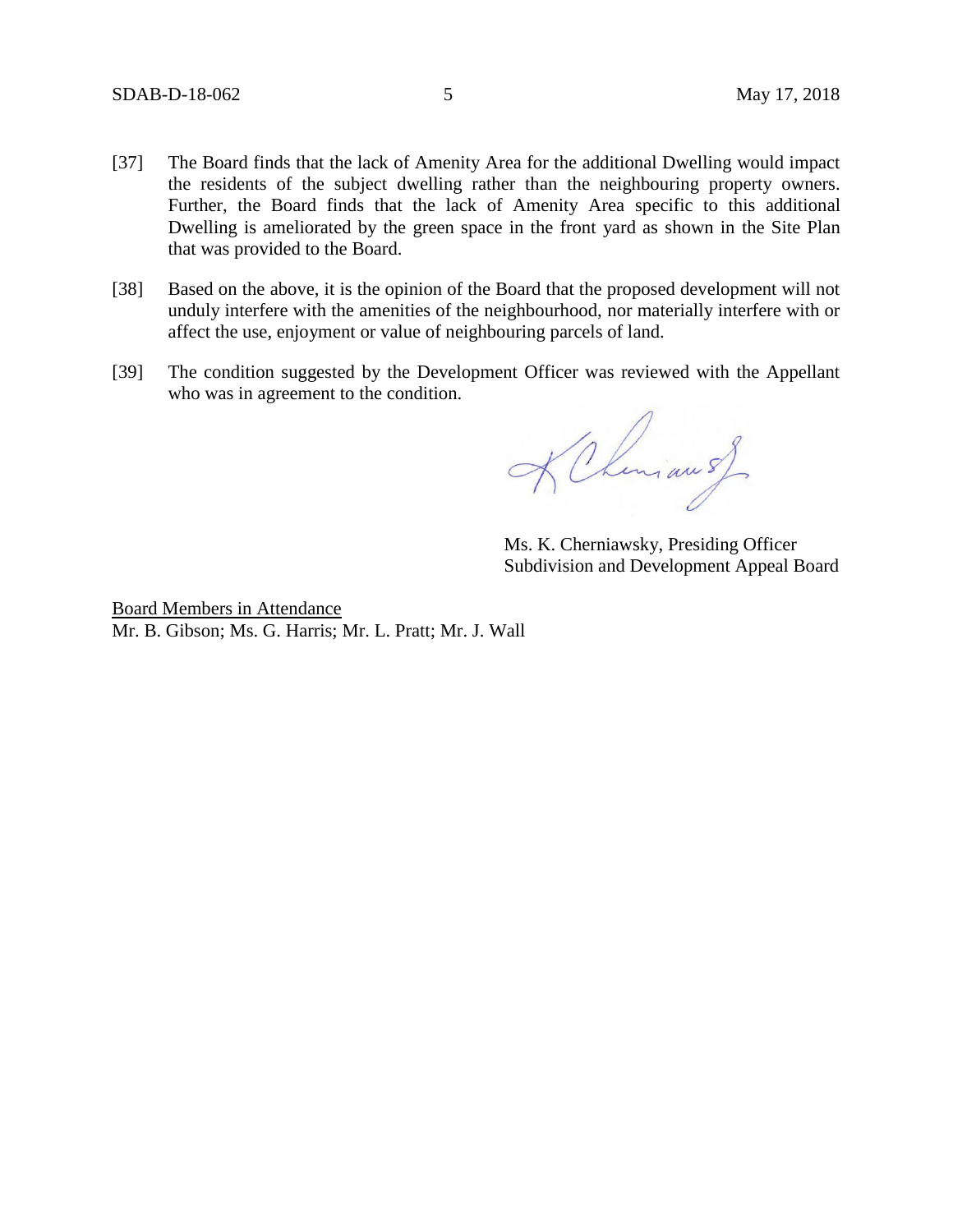- [37] The Board finds that the lack of Amenity Area for the additional Dwelling would impact the residents of the subject dwelling rather than the neighbouring property owners. Further, the Board finds that the lack of Amenity Area specific to this additional Dwelling is ameliorated by the green space in the front yard as shown in the Site Plan that was provided to the Board.
- [38] Based on the above, it is the opinion of the Board that the proposed development will not unduly interfere with the amenities of the neighbourhood, nor materially interfere with or affect the use, enjoyment or value of neighbouring parcels of land.
- [39] The condition suggested by the Development Officer was reviewed with the Appellant who was in agreement to the condition.

KChemian s)

Ms. K. Cherniawsky, Presiding Officer Subdivision and Development Appeal Board

Board Members in Attendance Mr. B. Gibson; Ms. G. Harris; Mr. L. Pratt; Mr. J. Wall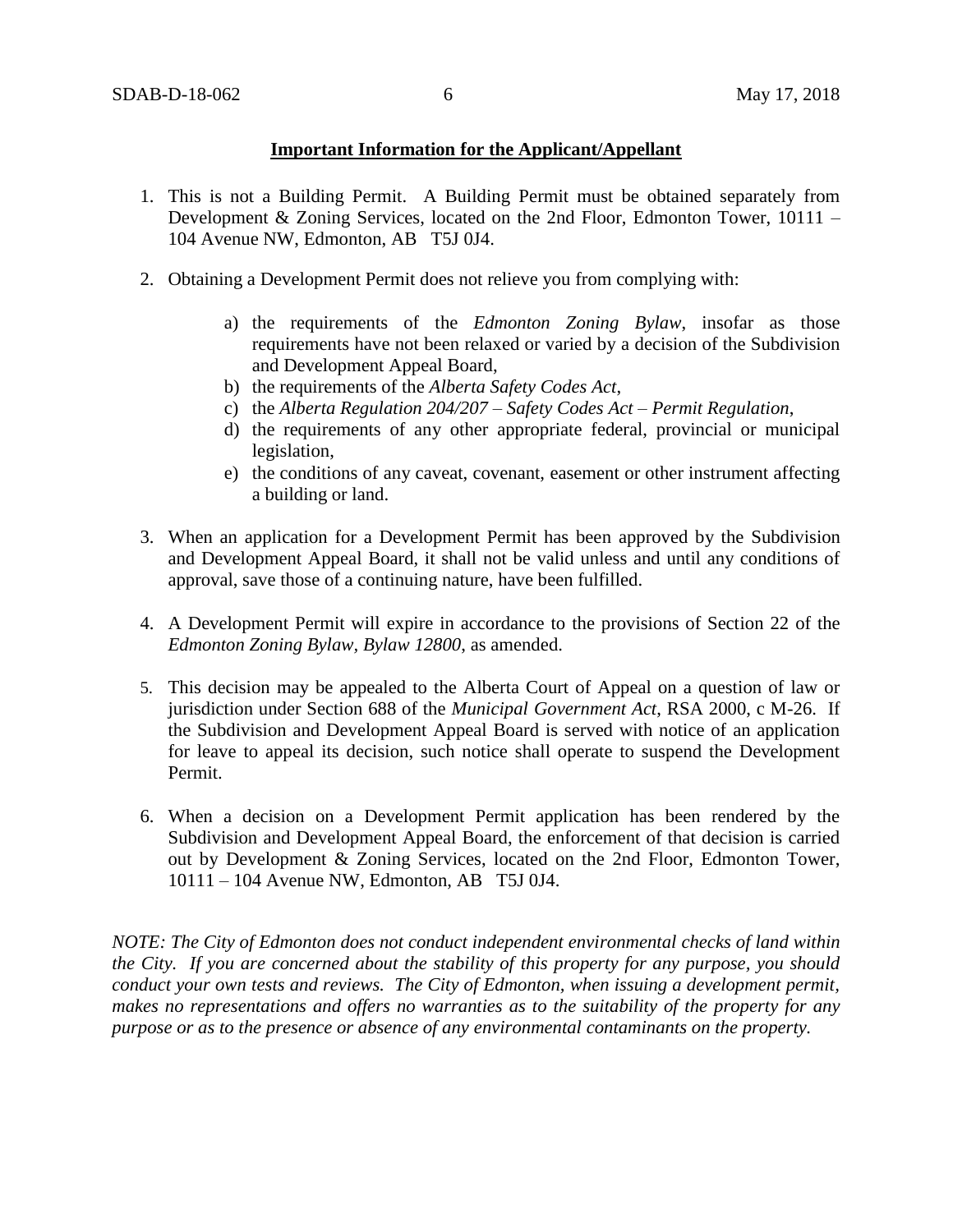#### **Important Information for the Applicant/Appellant**

- 1. This is not a Building Permit. A Building Permit must be obtained separately from Development & Zoning Services, located on the 2nd Floor, Edmonton Tower, 10111 – 104 Avenue NW, Edmonton, AB T5J 0J4.
- 2. Obtaining a Development Permit does not relieve you from complying with:
	- a) the requirements of the *Edmonton Zoning Bylaw*, insofar as those requirements have not been relaxed or varied by a decision of the Subdivision and Development Appeal Board,
	- b) the requirements of the *Alberta Safety Codes Act*,
	- c) the *Alberta Regulation 204/207 – Safety Codes Act – Permit Regulation*,
	- d) the requirements of any other appropriate federal, provincial or municipal legislation,
	- e) the conditions of any caveat, covenant, easement or other instrument affecting a building or land.
- 3. When an application for a Development Permit has been approved by the Subdivision and Development Appeal Board, it shall not be valid unless and until any conditions of approval, save those of a continuing nature, have been fulfilled.
- 4. A Development Permit will expire in accordance to the provisions of Section 22 of the *Edmonton Zoning Bylaw, Bylaw 12800*, as amended.
- 5. This decision may be appealed to the Alberta Court of Appeal on a question of law or jurisdiction under Section 688 of the *Municipal Government Act*, RSA 2000, c M-26. If the Subdivision and Development Appeal Board is served with notice of an application for leave to appeal its decision, such notice shall operate to suspend the Development Permit.
- 6. When a decision on a Development Permit application has been rendered by the Subdivision and Development Appeal Board, the enforcement of that decision is carried out by Development & Zoning Services, located on the 2nd Floor, Edmonton Tower, 10111 – 104 Avenue NW, Edmonton, AB T5J 0J4.

*NOTE: The City of Edmonton does not conduct independent environmental checks of land within the City. If you are concerned about the stability of this property for any purpose, you should conduct your own tests and reviews. The City of Edmonton, when issuing a development permit, makes no representations and offers no warranties as to the suitability of the property for any purpose or as to the presence or absence of any environmental contaminants on the property.*